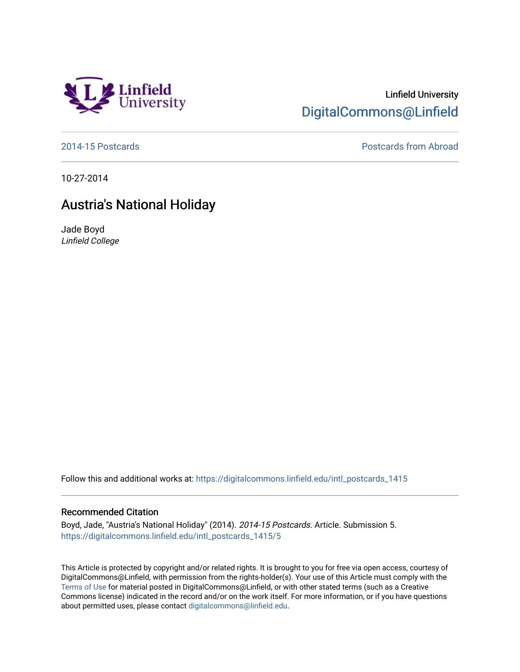

## Linfield University [DigitalCommons@Linfield](https://digitalcommons.linfield.edu/)

[2014-15 Postcards](https://digitalcommons.linfield.edu/intl_postcards_1415) [Postcards from Abroad](https://digitalcommons.linfield.edu/intl_postcards_comm) 

10-27-2014

## Austria's National Holiday

Jade Boyd Linfield College

Follow this and additional works at: [https://digitalcommons.linfield.edu/intl\\_postcards\\_1415](https://digitalcommons.linfield.edu/intl_postcards_1415?utm_source=digitalcommons.linfield.edu%2Fintl_postcards_1415%2F5&utm_medium=PDF&utm_campaign=PDFCoverPages)

## Recommended Citation

Boyd, Jade, "Austria's National Holiday" (2014). 2014-15 Postcards. Article. Submission 5. [https://digitalcommons.linfield.edu/intl\\_postcards\\_1415/5](https://digitalcommons.linfield.edu/intl_postcards_1415/5) 

This Article is protected by copyright and/or related rights. It is brought to you for free via open access, courtesy of DigitalCommons@Linfield, with permission from the rights-holder(s). Your use of this Article must comply with the [Terms of Use](https://digitalcommons.linfield.edu/terms_of_use.html) for material posted in DigitalCommons@Linfield, or with other stated terms (such as a Creative Commons license) indicated in the record and/or on the work itself. For more information, or if you have questions about permitted uses, please contact [digitalcommons@linfield.edu.](mailto:digitalcommons@linfield.edu)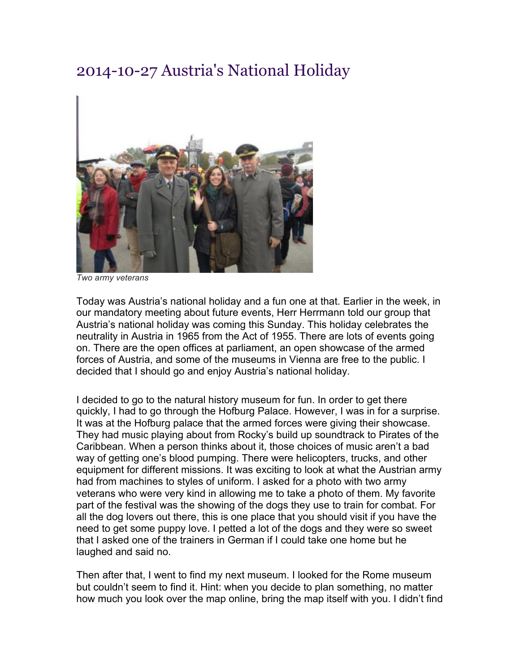## 2014-10-27 Austria's National Holiday



*Two army veterans*

Today was Austria's national holiday and a fun one at that. Earlier in the week, in our mandatory meeting about future events, Herr Herrmann told our group that Austria's national holiday was coming this Sunday. This holiday celebrates the neutrality in Austria in 1965 from the Act of 1955. There are lots of events going on. There are the open offices at parliament, an open showcase of the armed forces of Austria, and some of the museums in Vienna are free to the public. I decided that I should go and enjoy Austria's national holiday.

I decided to go to the natural history museum for fun. In order to get there quickly, I had to go through the Hofburg Palace. However, I was in for a surprise. It was at the Hofburg palace that the armed forces were giving their showcase. They had music playing about from Rocky's build up soundtrack to Pirates of the Caribbean. When a person thinks about it, those choices of music aren't a bad way of getting one's blood pumping. There were helicopters, trucks, and other equipment for different missions. It was exciting to look at what the Austrian army had from machines to styles of uniform. I asked for a photo with two army veterans who were very kind in allowing me to take a photo of them. My favorite part of the festival was the showing of the dogs they use to train for combat. For all the dog lovers out there, this is one place that you should visit if you have the need to get some puppy love. I petted a lot of the dogs and they were so sweet that I asked one of the trainers in German if I could take one home but he laughed and said no.

Then after that, I went to find my next museum. I looked for the Rome museum but couldn't seem to find it. Hint: when you decide to plan something, no matter how much you look over the map online, bring the map itself with you. I didn't find